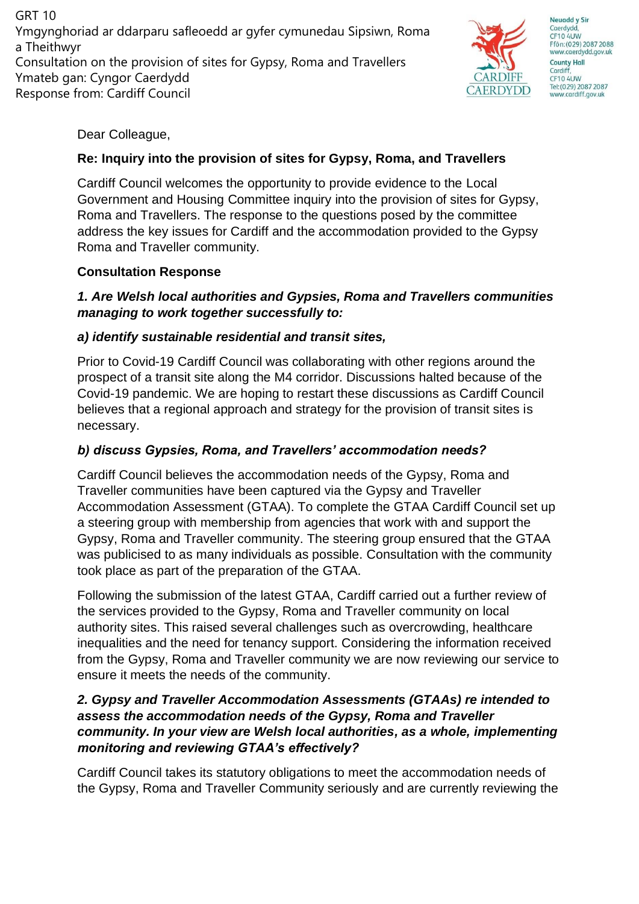GRT 10 Ymgynghoriad ar ddarparu safleoedd ar gyfer cymunedau Sipsiwn, Roma a Theithwyr Consultation on the provision of sites for Gypsy, Roma and Travellers Ymateb gan: Cyngor Caerdydd Response from: Cardiff Council



**Neuadd y Sir** Caerdydd CF10 4UW Ffôn: (029) 2087 2088 www.caerdydd.gov.uk **County Hall** Cardiff **CF10 4UW** Tel: (029) 2087 2087 www.cardiff.gov.uk

Dear Colleague,

# **Re: Inquiry into the provision of sites for Gypsy, Roma, and Travellers**

Cardiff Council welcomes the opportunity to provide evidence to the Local Government and Housing Committee inquiry into the provision of sites for Gypsy, Roma and Travellers. The response to the questions posed by the committee address the key issues for Cardiff and the accommodation provided to the Gypsy Roma and Traveller community.

# **Consultation Response**

# *1. Are Welsh local authorities and Gypsies, Roma and Travellers communities managing to work together successfully to:*

# *a) identify sustainable residential and transit sites,*

Prior to Covid-19 Cardiff Council was collaborating with other regions around the prospect of a transit site along the M4 corridor. Discussions halted because of the Covid-19 pandemic. We are hoping to restart these discussions as Cardiff Council believes that a regional approach and strategy for the provision of transit sites is necessary.

# *b) discuss Gypsies, Roma, and Travellers' accommodation needs?*

Cardiff Council believes the accommodation needs of the Gypsy, Roma and Traveller communities have been captured via the Gypsy and Traveller Accommodation Assessment (GTAA). To complete the GTAA Cardiff Council set up a steering group with membership from agencies that work with and support the Gypsy, Roma and Traveller community. The steering group ensured that the GTAA was publicised to as many individuals as possible. Consultation with the community took place as part of the preparation of the GTAA.

Following the submission of the latest GTAA, Cardiff carried out a further review of the services provided to the Gypsy, Roma and Traveller community on local authority sites. This raised several challenges such as overcrowding, healthcare inequalities and the need for tenancy support. Considering the information received from the Gypsy, Roma and Traveller community we are now reviewing our service to ensure it meets the needs of the community.

### *2. Gypsy and Traveller Accommodation Assessments (GTAAs) re intended to assess the accommodation needs of the Gypsy, Roma and Traveller community. In your view are Welsh local authorities, as a whole, implementing monitoring and reviewing GTAA's effectively?*

Cardiff Council takes its statutory obligations to meet the accommodation needs of the Gypsy, Roma and Traveller Community seriously and are currently reviewing the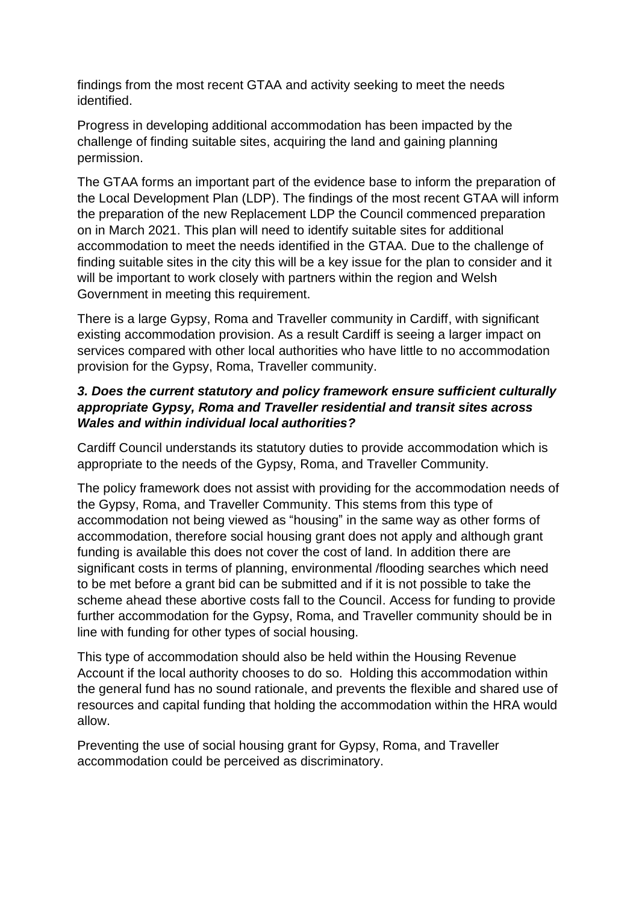findings from the most recent GTAA and activity seeking to meet the needs identified.

Progress in developing additional accommodation has been impacted by the challenge of finding suitable sites, acquiring the land and gaining planning permission.

The GTAA forms an important part of the evidence base to inform the preparation of the Local Development Plan (LDP). The findings of the most recent GTAA will inform the preparation of the new Replacement LDP the Council commenced preparation on in March 2021. This plan will need to identify suitable sites for additional accommodation to meet the needs identified in the GTAA. Due to the challenge of finding suitable sites in the city this will be a key issue for the plan to consider and it will be important to work closely with partners within the region and Welsh Government in meeting this requirement.

There is a large Gypsy, Roma and Traveller community in Cardiff, with significant existing accommodation provision. As a result Cardiff is seeing a larger impact on services compared with other local authorities who have little to no accommodation provision for the Gypsy, Roma, Traveller community.

#### *3. Does the current statutory and policy framework ensure sufficient culturally appropriate Gypsy, Roma and Traveller residential and transit sites across Wales and within individual local authorities?*

Cardiff Council understands its statutory duties to provide accommodation which is appropriate to the needs of the Gypsy, Roma, and Traveller Community.

The policy framework does not assist with providing for the accommodation needs of the Gypsy, Roma, and Traveller Community. This stems from this type of accommodation not being viewed as "housing" in the same way as other forms of accommodation, therefore social housing grant does not apply and although grant funding is available this does not cover the cost of land. In addition there are significant costs in terms of planning, environmental /flooding searches which need to be met before a grant bid can be submitted and if it is not possible to take the scheme ahead these abortive costs fall to the Council. Access for funding to provide further accommodation for the Gypsy, Roma, and Traveller community should be in line with funding for other types of social housing.

This type of accommodation should also be held within the Housing Revenue Account if the local authority chooses to do so. Holding this accommodation within the general fund has no sound rationale, and prevents the flexible and shared use of resources and capital funding that holding the accommodation within the HRA would allow.

Preventing the use of social housing grant for Gypsy, Roma, and Traveller accommodation could be perceived as discriminatory.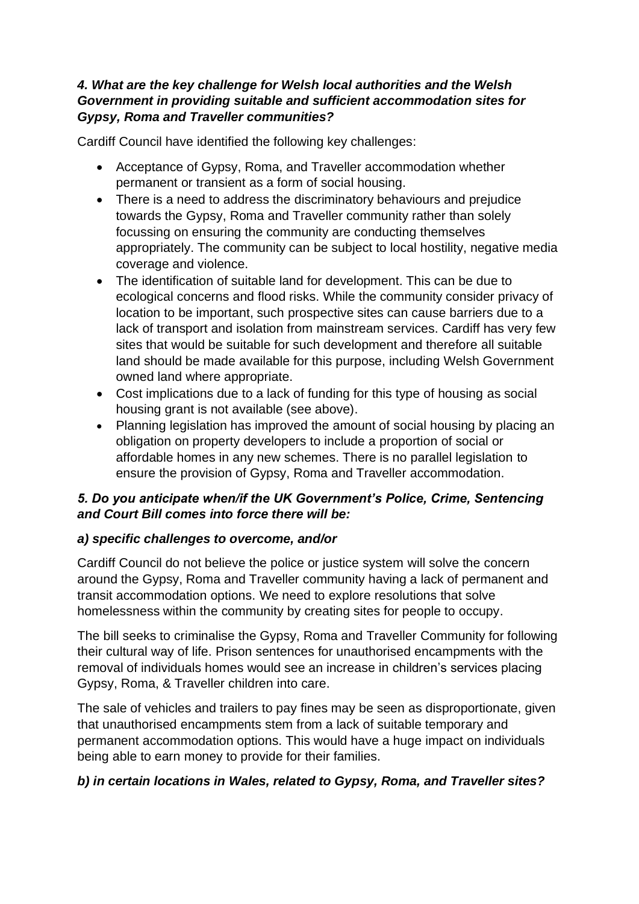#### *4. What are the key challenge for Welsh local authorities and the Welsh Government in providing suitable and sufficient accommodation sites for Gypsy, Roma and Traveller communities?*

Cardiff Council have identified the following key challenges:

- Acceptance of Gypsy, Roma, and Traveller accommodation whether permanent or transient as a form of social housing.
- There is a need to address the discriminatory behaviours and prejudice towards the Gypsy, Roma and Traveller community rather than solely focussing on ensuring the community are conducting themselves appropriately. The community can be subject to local hostility, negative media coverage and violence.
- The identification of suitable land for development. This can be due to ecological concerns and flood risks. While the community consider privacy of location to be important, such prospective sites can cause barriers due to a lack of transport and isolation from mainstream services. Cardiff has very few sites that would be suitable for such development and therefore all suitable land should be made available for this purpose, including Welsh Government owned land where appropriate.
- Cost implications due to a lack of funding for this type of housing as social housing grant is not available (see above).
- Planning legislation has improved the amount of social housing by placing an obligation on property developers to include a proportion of social or affordable homes in any new schemes. There is no parallel legislation to ensure the provision of Gypsy, Roma and Traveller accommodation.

# *5. Do you anticipate when/if the UK Government's Police, Crime, Sentencing and Court Bill comes into force there will be:*

# *a) specific challenges to overcome, and/or*

Cardiff Council do not believe the police or justice system will solve the concern around the Gypsy, Roma and Traveller community having a lack of permanent and transit accommodation options. We need to explore resolutions that solve homelessness within the community by creating sites for people to occupy.

The bill seeks to criminalise the Gypsy, Roma and Traveller Community for following their cultural way of life. Prison sentences for unauthorised encampments with the removal of individuals homes would see an increase in children's services placing Gypsy, Roma, & Traveller children into care.

The sale of vehicles and trailers to pay fines may be seen as disproportionate, given that unauthorised encampments stem from a lack of suitable temporary and permanent accommodation options. This would have a huge impact on individuals being able to earn money to provide for their families.

# *b) in certain locations in Wales, related to Gypsy, Roma, and Traveller sites?*